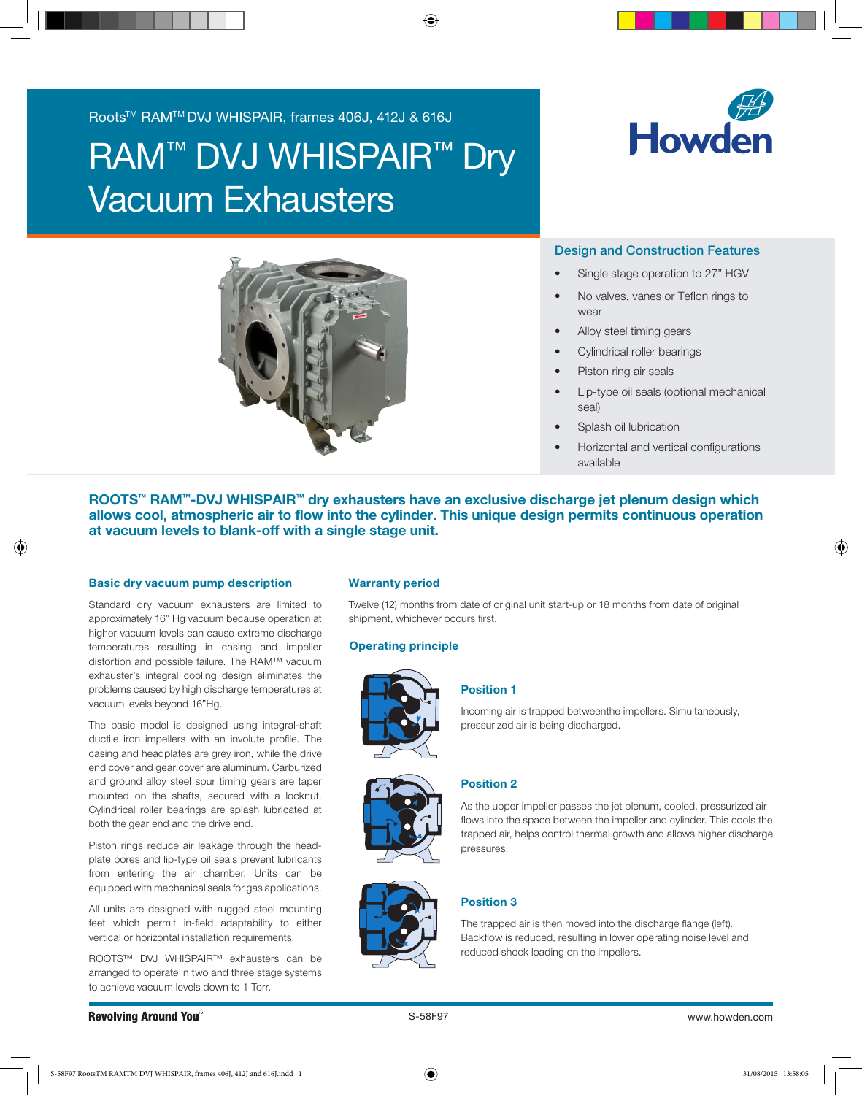Roots™ RAM™ DVJ WHISPAIR, frames 406J, 412J & 616J

# **RAM™ DVJ WHISPAIR™ Dry** Vacuum Exhausters





# Design and Construction Features

- Single stage operation to 27" HGV
- No valves, vanes or Teflon rings to wear
- Alloy steel timing gears
- Cylindrical roller bearings
- Piston ring air seals
- Lip-type oil seals (optional mechanical seal)
- Splash oil lubrication
- Horizontal and vertical configurations available

ROOTS™ RAM™-DVJ WHISPAIR™ dry exhausters have an exclusive discharge jet plenum design which allows cool, atmospheric air to flow into the cylinder. This unique design permits continuous operation at vacuum levels to blank-off with a single stage unit.

## Basic dry vacuum pump description

Standard dry vacuum exhausters are limited to approximately 16" Hg vacuum because operation at higher vacuum levels can cause extreme discharge temperatures resulting in casing and impeller distortion and possible failure. The RAM™ vacuum exhauster's integral cooling design eliminates the problems caused by high discharge temperatures at vacuum levels beyond 16"Hg.

The basic model is designed using integral-shaft ductile iron impellers with an involute profile. The casing and headplates are grey iron, while the drive end cover and gear cover are aluminum. Carburized and ground alloy steel spur timing gears are taper mounted on the shafts, secured with a locknut. Cylindrical roller bearings are splash lubricated at both the gear end and the drive end.

Piston rings reduce air leakage through the headplate bores and lip-type oil seals prevent lubricants from entering the air chamber. Units can be equipped with mechanical seals for gas applications.

All units are designed with rugged steel mounting feet which permit in-field adaptability to either vertical or horizontal installation requirements.

ROOTS™ DVJ WHISPAIR™ exhausters can be arranged to operate in two and three stage systems anangea to operate in two and three stage systems<br>to achieve vacuum levels down to 1 Torr.

## Warranty period

Twelve (12) months from date of original unit start-up or 18 months from date of original shipment, whichever occurs first.

#### Operating principle



#### Position 1

Incoming air is trapped betweenthe impellers. Simultaneously, pressurized air is being discharged.





# Position 2

As the upper impeller passes the jet plenum, cooled, pressurized air flows into the space between the impeller and cylinder. This cools the trapped air, helps control thermal growth and allows higher discharge pressures.

# Position 3

The trapped air is then moved into the discharge flange (left). Backflow is reduced, resulting in lower operating noise level and reduced shock loading on the impellers.